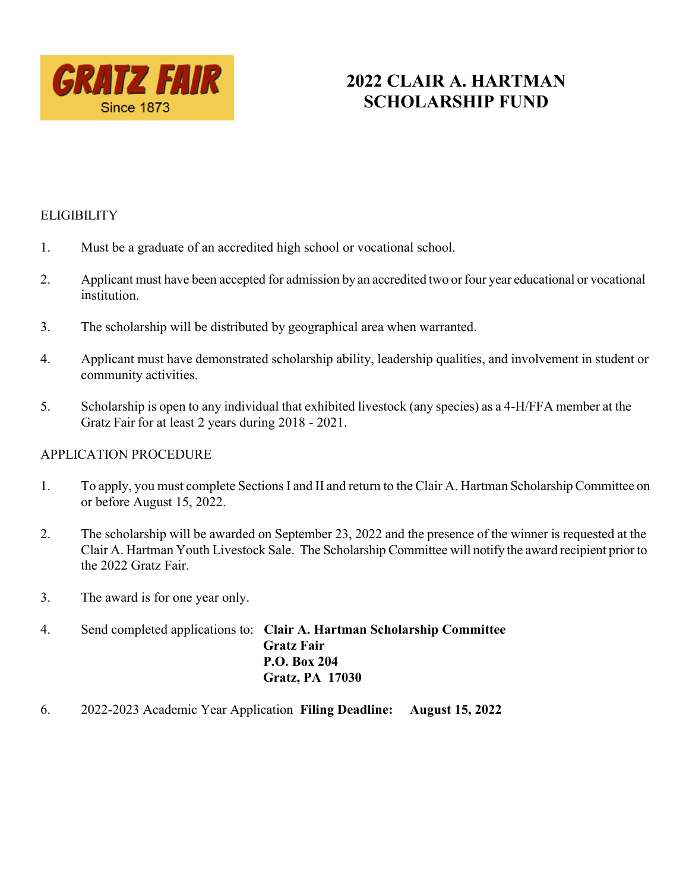

# **2022 CLAIR A. HARTMAN SCHOLARSHIP FUND**

### **ELIGIBILITY**

- 1. Must be a graduate of an accredited high school or vocational school.
- 2. Applicant must have been accepted for admission by an accredited two or four year educational or vocational institution.
- 3. The scholarship will be distributed by geographical area when warranted.
- 4. Applicant must have demonstrated scholarship ability, leadership qualities, and involvement in student or community activities.
- 5. Scholarship is open to any individual that exhibited livestock (any species) as a 4-H/FFA member at the Gratz Fair for at least 2 years during 2018 - 2021.

#### APPLICATION PROCEDURE

- 1. To apply, you must complete Sections I and II and return to the Clair A. Hartman Scholarship Committee on or before August 15, 2022.
- 2. The scholarship will be awarded on September 23, 2022 and the presence of the winner is requested at the Clair A. Hartman Youth Livestock Sale. The Scholarship Committee will notify the award recipient priorto the 2022 Gratz Fair.
- 3. The award is for one year only.
- 4. Send completed applications to: **Clair A. Hartman Scholarship Committee Gratz Fair P.O. Box 204 Gratz, PA 17030**
- 6. 2022-2023 Academic Year Application **Filing Deadline: August 15, 2022**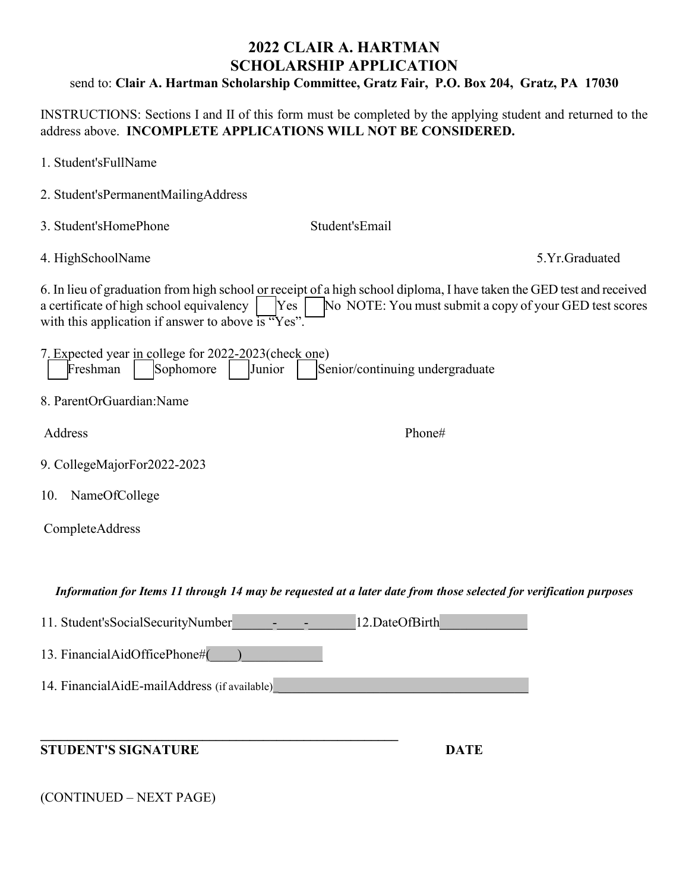## **2022 CLAIR A. HARTMAN SCHOLARSHIP APPLICATION**

## send to: **Clair A. Hartman Scholarship Committee, Gratz Fair, P.O. Box 204, Gratz, PA 17030**

INSTRUCTIONS: Sections I and II of this form must be completed by the applying student and returned to the address above. **INCOMPLETE APPLICATIONS WILL NOT BE CONSIDERED.**

| 1. Student'sFullName                                                                                                                                                                                                                                                                      |                                                                                                                    |
|-------------------------------------------------------------------------------------------------------------------------------------------------------------------------------------------------------------------------------------------------------------------------------------------|--------------------------------------------------------------------------------------------------------------------|
| 2. Student'sPermanentMailingAddress                                                                                                                                                                                                                                                       |                                                                                                                    |
| 3. Student'sHomePhone                                                                                                                                                                                                                                                                     | Student'sEmail                                                                                                     |
| 4. HighSchoolName                                                                                                                                                                                                                                                                         | 5.Yr.Graduated                                                                                                     |
| 6. In lieu of graduation from high school or receipt of a high school diploma, I have taken the GED test and received<br>a certificate of high school equivalency<br>No NOTE: You must submit a copy of your GED test scores<br>Yes<br>with this application if answer to above is "Yes". |                                                                                                                    |
| 7. Expected year in college for 2022-2023 (check one)<br>Sophomore<br>Freshman<br>Junior                                                                                                                                                                                                  | Senior/continuing undergraduate                                                                                    |
| 8. ParentOrGuardian:Name                                                                                                                                                                                                                                                                  |                                                                                                                    |
| Address                                                                                                                                                                                                                                                                                   | Phone#                                                                                                             |
| 9. CollegeMajorFor2022-2023                                                                                                                                                                                                                                                               |                                                                                                                    |
| NameOfCollege<br>10.                                                                                                                                                                                                                                                                      |                                                                                                                    |
| CompleteAddress                                                                                                                                                                                                                                                                           |                                                                                                                    |
|                                                                                                                                                                                                                                                                                           |                                                                                                                    |
|                                                                                                                                                                                                                                                                                           | Information for Items 11 through 14 may be requested at a later date from those selected for verification purposes |
| 11. Student's Social Security Number                                                                                                                                                                                                                                                      | 12.DateOfBirth                                                                                                     |
| 13. FinancialAidOfficePhone#(                                                                                                                                                                                                                                                             |                                                                                                                    |
| 14. FinancialAidE-mailAddress (if available)                                                                                                                                                                                                                                              |                                                                                                                    |
|                                                                                                                                                                                                                                                                                           |                                                                                                                    |
| <b>STUDENT'S SIGNATURE</b>                                                                                                                                                                                                                                                                | <b>DATE</b>                                                                                                        |
|                                                                                                                                                                                                                                                                                           |                                                                                                                    |

(CONTINUED – NEXT PAGE)